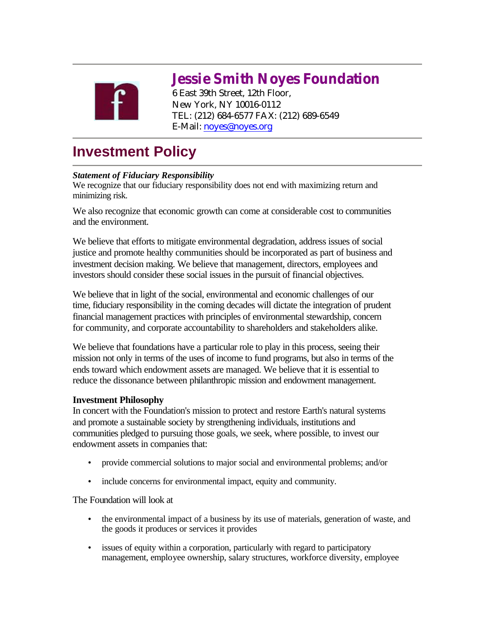

# **Jessie Smith Noyes Foundation**

6 East 39th Street, 12th Floor, New York, NY 10016-0112 TEL: (212) 684-6577 FAX: (212) 689-6549 E-Mail: noyes@noyes.org

## **Investment Policy**

## *Statement of Fiduciary Responsibility*

We recognize that our fiduciary responsibility does not end with maximizing return and minimizing risk.

We also recognize that economic growth can come at considerable cost to communities and the environment.

We believe that efforts to mitigate environmental degradation, address issues of social justice and promote healthy communities should be incorporated as part of business and investment decision making. We believe that management, directors, employees and investors should consider these social issues in the pursuit of financial objectives.

We believe that in light of the social, environmental and economic challenges of our time, fiduciary responsibility in the coming decades will dictate the integration of prudent financial management practices with principles of environmental stewardship, concern for community, and corporate accountability to shareholders and stakeholders alike.

We believe that foundations have a particular role to play in this process, seeing their mission not only in terms of the uses of income to fund programs, but also in terms of the ends toward which endowment assets are managed. We believe that it is essential to reduce the dissonance between philanthropic mission and endowment management.

## **Investment Philosophy**

In concert with the Foundation's mission to protect and restore Earth's natural systems and promote a sustainable society by strengthening individuals, institutions and communities pledged to pursuing those goals, we seek, where possible, to invest our endowment assets in companies that:

- provide commercial solutions to major social and environmental problems; and/or
- include concerns for environmental impact, equity and community.

The Foundation will look at

- the environmental impact of a business by its use of materials, generation of waste, and the goods it produces or services it provides
- issues of equity within a corporation, particularly with regard to participatory management, employee ownership, salary structures, workforce diversity, employee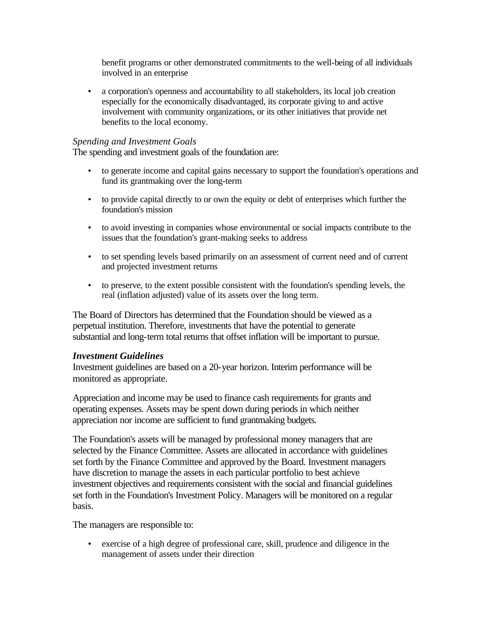benefit programs or other demonstrated commitments to the well-being of all individuals involved in an enterprise

• a corporation's openness and accountability to all stakeholders, its local job creation especially for the economically disadvantaged, its corporate giving to and active involvement with community organizations, or its other initiatives that provide net benefits to the local economy.

## *Spending and Investment Goals*

The spending and investment goals of the foundation are:

- to generate income and capital gains necessary to support the foundation's operations and fund its grantmaking over the long-term
- to provide capital directly to or own the equity or debt of enterprises which further the foundation's mission
- to avoid investing in companies whose environmental or social impacts contribute to the issues that the foundation's grant-making seeks to address
- to set spending levels based primarily on an assessment of current need and of current and projected investment returns
- to preserve, to the extent possible consistent with the foundation's spending levels, the real (inflation adjusted) value of its assets over the long term.

The Board of Directors has determined that the Foundation should be viewed as a perpetual institution. Therefore, investments that have the potential to generate substantial and long-term total returns that offset inflation will be important to pursue.

## *Investment Guidelines*

Investment guidelines are based on a 20-year horizon. Interim performance will be monitored as appropriate.

Appreciation and income may be used to finance cash requirements for grants and operating expenses. Assets may be spent down during periods in which neither appreciation nor income are sufficient to fund grantmaking budgets.

The Foundation's assets will be managed by professional money managers that are selected by the Finance Committee. Assets are allocated in accordance with guidelines set forth by the Finance Committee and approved by the Board. Investment managers have discretion to manage the assets in each particular portfolio to best achieve investment objectives and requirements consistent with the social and financial guidelines set forth in the Foundation's Investment Policy. Managers will be monitored on a regular basis.

The managers are responsible to:

• exercise of a high degree of professional care, skill, prudence and diligence in the management of assets under their direction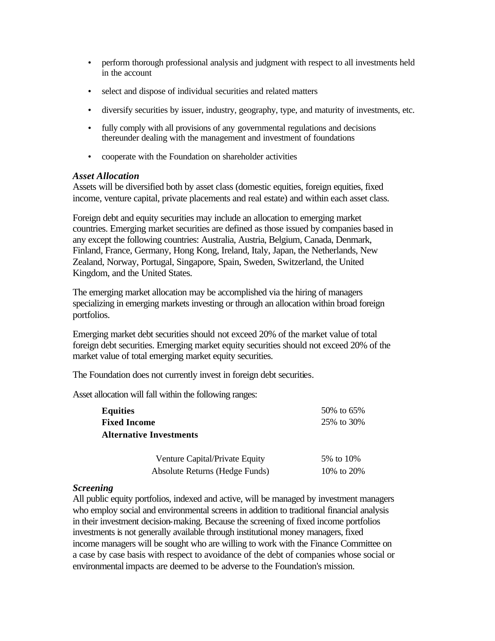- perform thorough professional analysis and judgment with respect to all investments held in the account
- select and dispose of individual securities and related matters
- diversify securities by issuer, industry, geography, type, and maturity of investments, etc.
- fully comply with all provisions of any governmental regulations and decisions thereunder dealing with the management and investment of foundations
- cooperate with the Foundation on shareholder activities

#### *Asset Allocation*

Assets will be diversified both by asset class (domestic equities, foreign equities, fixed income, venture capital, private placements and real estate) and within each asset class.

Foreign debt and equity securities may include an allocation to emerging market countries. Emerging market securities are defined as those issued by companies based in any except the following countries: Australia, Austria, Belgium, Canada, Denmark, Finland, France, Germany, Hong Kong, Ireland, Italy, Japan, the Netherlands, New Zealand, Norway, Portugal, Singapore, Spain, Sweden, Switzerland, the United Kingdom, and the United States.

The emerging market allocation may be accomplished via the hiring of managers specializing in emerging markets investing or through an allocation within broad foreign portfolios.

Emerging market debt securities should not exceed 20% of the market value of total foreign debt securities. Emerging market equity securities should not exceed 20% of the market value of total emerging market equity securities.

The Foundation does not currently invest in foreign debt securities.

Asset allocation will fall within the following ranges:

| <b>Equities</b>                | 50\% to 65\% |
|--------------------------------|--------------|
| <b>Fixed Income</b>            | 25% to 30%   |
| <b>Alternative Investments</b> |              |
| Venture Capital/Private Equity | 5\% to 10\%  |
| Absolute Returns (Hedge Funds) | 10\% to 20\% |

## *Screening*

All public equity portfolios, indexed and active, will be managed by investment managers who employ social and environmental screens in addition to traditional financial analysis in their investment decision-making. Because the screening of fixed income portfolios investments is not generally available through institutional money managers, fixed income managers will be sought who are willing to work with the Finance Committee on a case by case basis with respect to avoidance of the debt of companies whose social or environmental impacts are deemed to be adverse to the Foundation's mission.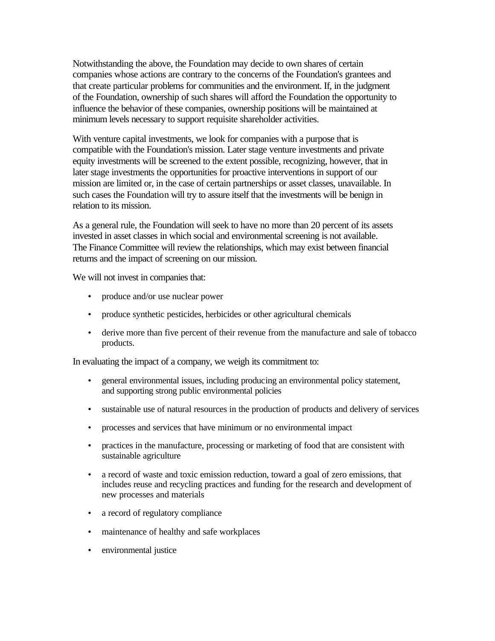Notwithstanding the above, the Foundation may decide to own shares of certain companies whose actions are contrary to the concerns of the Foundation's grantees and that create particular problems for communities and the environment. If, in the judgment of the Foundation, ownership of such shares will afford the Foundation the opportunity to influence the behavior of these companies, ownership positions will be maintained at minimum levels necessary to support requisite shareholder activities.

With venture capital investments, we look for companies with a purpose that is compatible with the Foundation's mission. Later stage venture investments and private equity investments will be screened to the extent possible, recognizing, however, that in later stage investments the opportunities for proactive interventions in support of our mission are limited or, in the case of certain partnerships or asset classes, unavailable. In such cases the Foundation will try to assure itself that the investments will be benign in relation to its mission.

As a general rule, the Foundation will seek to have no more than 20 percent of its assets invested in asset classes in which social and environmental screening is not available. The Finance Committee will review the relationships, which may exist between financial returns and the impact of screening on our mission.

We will not invest in companies that:

- produce and/or use nuclear power
- produce synthetic pesticides, herbicides or other agricultural chemicals
- derive more than five percent of their revenue from the manufacture and sale of tobacco products.

In evaluating the impact of a company, we weigh its commitment to:

- general environmental issues, including producing an environmental policy statement, and supporting strong public environmental policies
- sustainable use of natural resources in the production of products and delivery of services
- processes and services that have minimum or no environmental impact
- practices in the manufacture, processing or marketing of food that are consistent with sustainable agriculture
- a record of waste and toxic emission reduction, toward a goal of zero emissions, that includes reuse and recycling practices and funding for the research and development of new processes and materials
- a record of regulatory compliance
- maintenance of healthy and safe workplaces
- environmental justice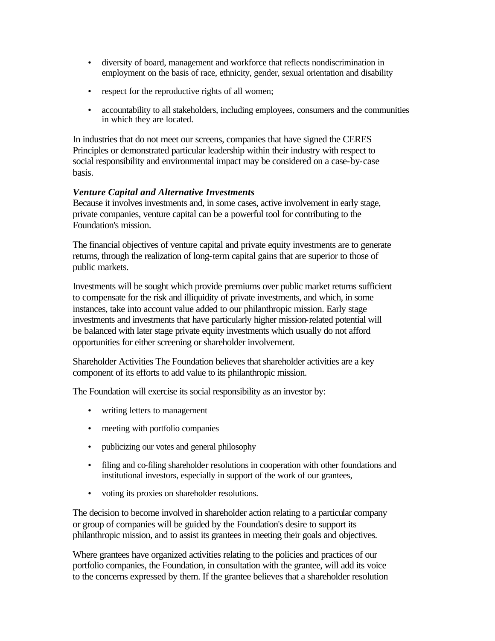- diversity of board, management and workforce that reflects nondiscrimination in employment on the basis of race, ethnicity, gender, sexual orientation and disability
- respect for the reproductive rights of all women;
- accountability to all stakeholders, including employees, consumers and the communities in which they are located.

In industries that do not meet our screens, companies that have signed the CERES Principles or demonstrated particular leadership within their industry with respect to social responsibility and environmental impact may be considered on a case-by-case basis.

## *Venture Capital and Alternative Investments*

Because it involves investments and, in some cases, active involvement in early stage, private companies, venture capital can be a powerful tool for contributing to the Foundation's mission.

The financial objectives of venture capital and private equity investments are to generate returns, through the realization of long-term capital gains that are superior to those of public markets.

Investments will be sought which provide premiums over public market returns sufficient to compensate for the risk and illiquidity of private investments, and which, in some instances, take into account value added to our philanthropic mission. Early stage investments and investments that have particularly higher mission-related potential will be balanced with later stage private equity investments which usually do not afford opportunities for either screening or shareholder involvement.

Shareholder Activities The Foundation believes that shareholder activities are a key component of its efforts to add value to its philanthropic mission.

The Foundation will exercise its social responsibility as an investor by:

- writing letters to management
- meeting with portfolio companies
- publicizing our votes and general philosophy
- filing and co-filing shareholder resolutions in cooperation with other foundations and institutional investors, especially in support of the work of our grantees,
- voting its proxies on shareholder resolutions.

The decision to become involved in shareholder action relating to a particular company or group of companies will be guided by the Foundation's desire to support its philanthropic mission, and to assist its grantees in meeting their goals and objectives.

Where grantees have organized activities relating to the policies and practices of our portfolio companies, the Foundation, in consultation with the grantee, will add its voice to the concerns expressed by them. If the grantee believes that a shareholder resolution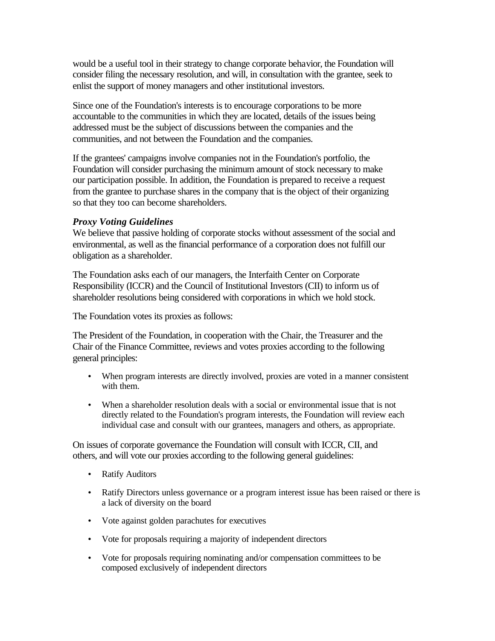would be a useful tool in their strategy to change corporate behavior, the Foundation will consider filing the necessary resolution, and will, in consultation with the grantee, seek to enlist the support of money managers and other institutional investors.

Since one of the Foundation's interests is to encourage corporations to be more accountable to the communities in which they are located, details of the issues being addressed must be the subject of discussions between the companies and the communities, and not between the Foundation and the companies.

If the grantees' campaigns involve companies not in the Foundation's portfolio, the Foundation will consider purchasing the minimum amount of stock necessary to make our participation possible. In addition, the Foundation is prepared to receive a request from the grantee to purchase shares in the company that is the object of their organizing so that they too can become shareholders.

## *Proxy Voting Guidelines*

We believe that passive holding of corporate stocks without assessment of the social and environmental, as well as the financial performance of a corporation does not fulfill our obligation as a shareholder.

The Foundation asks each of our managers, the Interfaith Center on Corporate Responsibility (ICCR) and the Council of Institutional Investors (CII) to inform us of shareholder resolutions being considered with corporations in which we hold stock.

The Foundation votes its proxies as follows:

The President of the Foundation, in cooperation with the Chair, the Treasurer and the Chair of the Finance Committee, reviews and votes proxies according to the following general principles:

- When program interests are directly involved, proxies are voted in a manner consistent with them.
- When a shareholder resolution deals with a social or environmental issue that is not directly related to the Foundation's program interests, the Foundation will review each individual case and consult with our grantees, managers and others, as appropriate.

On issues of corporate governance the Foundation will consult with ICCR, CII, and others, and will vote our proxies according to the following general guidelines:

- Ratify Auditors
- Ratify Directors unless governance or a program interest issue has been raised or there is a lack of diversity on the board
- Vote against golden parachutes for executives
- Vote for proposals requiring a majority of independent directors
- Vote for proposals requiring nominating and/or compensation committees to be composed exclusively of independent directors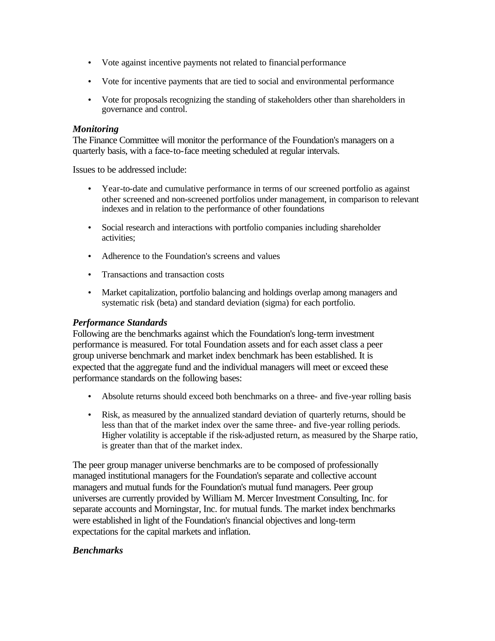- Vote against incentive payments not related to financial performance
- Vote for incentive payments that are tied to social and environmental performance
- Vote for proposals recognizing the standing of stakeholders other than shareholders in governance and control.

#### *Monitoring*

The Finance Committee will monitor the performance of the Foundation's managers on a quarterly basis, with a face-to-face meeting scheduled at regular intervals.

Issues to be addressed include:

- Year-to-date and cumulative performance in terms of our screened portfolio as against other screened and non-screened portfolios under management, in comparison to relevant indexes and in relation to the performance of other foundations
- Social research and interactions with portfolio companies including shareholder activities;
- Adherence to the Foundation's screens and values
- Transactions and transaction costs
- Market capitalization, portfolio balancing and holdings overlap among managers and systematic risk (beta) and standard deviation (sigma) for each portfolio.

## *Performance Standards*

Following are the benchmarks against which the Foundation's long-term investment performance is measured. For total Foundation assets and for each asset class a peer group universe benchmark and market index benchmark has been established. It is expected that the aggregate fund and the individual managers will meet or exceed these performance standards on the following bases:

- Absolute returns should exceed both benchmarks on a three- and five-year rolling basis
- Risk, as measured by the annualized standard deviation of quarterly returns, should be less than that of the market index over the same three- and five-year rolling periods. Higher volatility is acceptable if the risk-adjusted return, as measured by the Sharpe ratio, is greater than that of the market index.

The peer group manager universe benchmarks are to be composed of professionally managed institutional managers for the Foundation's separate and collective account managers and mutual funds for the Foundation's mutual fund managers. Peer group universes are currently provided by William M. Mercer Investment Consulting, Inc. for separate accounts and Morningstar, Inc. for mutual funds. The market index benchmarks were established in light of the Foundation's financial objectives and long-term expectations for the capital markets and inflation.

## *Benchmarks*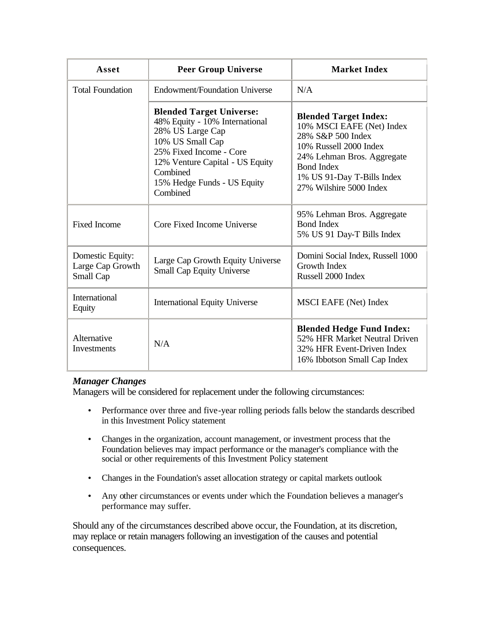| Asset                                             | <b>Peer Group Universe</b>                                                                                                                                                                                                     | <b>Market Index</b>                                                                                                                                                                                                  |
|---------------------------------------------------|--------------------------------------------------------------------------------------------------------------------------------------------------------------------------------------------------------------------------------|----------------------------------------------------------------------------------------------------------------------------------------------------------------------------------------------------------------------|
| <b>Total Foundation</b>                           | Endowment/Foundation Universe                                                                                                                                                                                                  | N/A                                                                                                                                                                                                                  |
|                                                   | <b>Blended Target Universe:</b><br>48% Equity - 10% International<br>28% US Large Cap<br>10% US Small Cap<br>25% Fixed Income - Core<br>12% Venture Capital - US Equity<br>Combined<br>15% Hedge Funds - US Equity<br>Combined | <b>Blended Target Index:</b><br>10% MSCI EAFE (Net) Index<br>28% S&P 500 Index<br>10% Russell 2000 Index<br>24% Lehman Bros. Aggregate<br><b>Bond Index</b><br>1% US 91-Day T-Bills Index<br>27% Wilshire 5000 Index |
| <b>Fixed Income</b>                               | Core Fixed Income Universe                                                                                                                                                                                                     | 95% Lehman Bros. Aggregate<br><b>Bond Index</b><br>5% US 91 Day-T Bills Index                                                                                                                                        |
| Domestic Equity:<br>Large Cap Growth<br>Small Cap | Large Cap Growth Equity Universe<br><b>Small Cap Equity Universe</b>                                                                                                                                                           | Domini Social Index, Russell 1000<br>Growth Index<br>Russell 2000 Index                                                                                                                                              |
| International<br>Equity                           | <b>International Equity Universe</b>                                                                                                                                                                                           | <b>MSCI EAFE</b> (Net) Index                                                                                                                                                                                         |
| Alternative<br>Investments                        | N/A                                                                                                                                                                                                                            | <b>Blended Hedge Fund Index:</b><br>52% HFR Market Neutral Driven<br>32% HFR Event-Driven Index<br>16% Ibbotson Small Cap Index                                                                                      |

## *Manager Changes*

Managers will be considered for replacement under the following circumstances:

- Performance over three and five-year rolling periods falls below the standards described in this Investment Policy statement
- Changes in the organization, account management, or investment process that the Foundation believes may impact performance or the manager's compliance with the social or other requirements of this Investment Policy statement
- Changes in the Foundation's asset allocation strategy or capital markets outlook
- Any other circumstances or events under which the Foundation believes a manager's performance may suffer.

Should any of the circumstances described above occur, the Foundation, at its discretion, may replace or retain managers following an investigation of the causes and potential consequences.